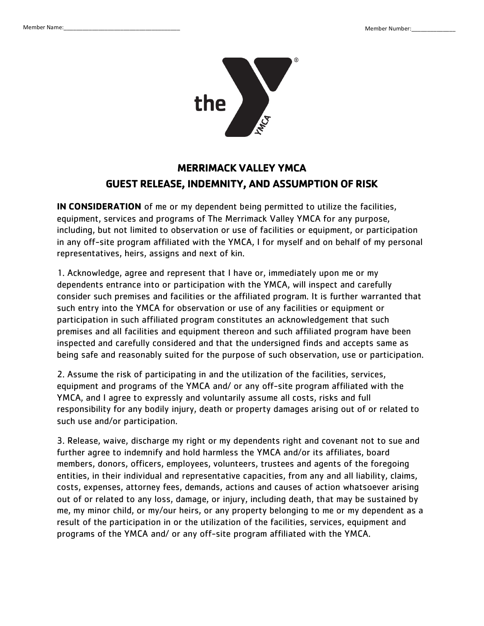

## **MERRIMACK VALLEY YMCA GUEST RELEASE, INDEMNITY, AND ASSUMPTION OF RISK**

**IN CONSIDERATION** of me or my dependent being permitted to utilize the facilities, equipment, services and programs of The Merrimack Valley YMCA for any purpose, including, but not limited to observation or use of facilities or equipment, or participation in any off-site program affiliated with the YMCA, I for myself and on behalf of my personal representatives, heirs, assigns and next of kin.

1. Acknowledge, agree and represent that I have or, immediately upon me or my dependents entrance into or participation with the YMCA, will inspect and carefully consider such premises and facilities or the affiliated program. It is further warranted that such entry into the YMCA for observation or use of any facilities or equipment or participation in such affiliated program constitutes an acknowledgement that such premises and all facilities and equipment thereon and such affiliated program have been inspected and carefully considered and that the undersigned finds and accepts same as being safe and reasonably suited for the purpose of such observation, use or participation.

2. Assume the risk of participating in and the utilization of the facilities, services, equipment and programs of the YMCA and/ or any off-site program affiliated with the YMCA, and I agree to expressly and voluntarily assume all costs, risks and full responsibility for any bodily injury, death or property damages arising out of or related to such use and/or participation.

3. Release, waive, discharge my right or my dependents right and covenant not to sue and further agree to indemnify and hold harmless the YMCA and/or its affiliates, board members, donors, officers, employees, volunteers, trustees and agents of the foregoing entities, in their individual and representative capacities, from any and all liability, claims, costs, expenses, attorney fees, demands, actions and causes of action whatsoever arising out of or related to any loss, damage, or injury, including death, that may be sustained by me, my minor child, or my/our heirs, or any property belonging to me or my dependent as a result of the participation in or the utilization of the facilities, services, equipment and programs of the YMCA and/ or any off-site program affiliated with the YMCA.